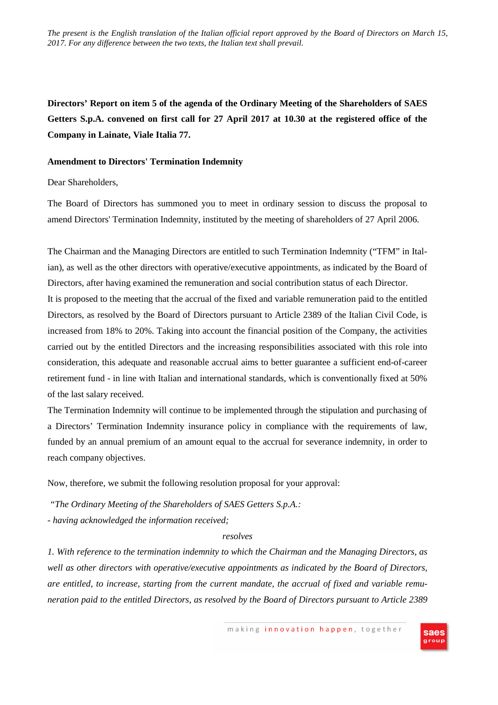*The present is the English translation of the Italian official report approved by the Board of Directors on March 15, 2017. For any difference between the two texts, the Italian text shall prevail.*

**Directors' Report on item 5 of the agenda of the Ordinary Meeting of the Shareholders of SAES Getters S.p.A. convened on first call for 27 April 2017 at 10.30 at the registered office of the Company in Lainate, Viale Italia 77.** 

## **Amendment to Directors' Termination Indemnity**

## Dear Shareholders,

The Board of Directors has summoned you to meet in ordinary session to discuss the proposal to amend Directors' Termination Indemnity, instituted by the meeting of shareholders of 27 April 2006.

The Chairman and the Managing Directors are entitled to such Termination Indemnity ("TFM" in Italian), as well as the other directors with operative/executive appointments, as indicated by the Board of Directors, after having examined the remuneration and social contribution status of each Director. It is proposed to the meeting that the accrual of the fixed and variable remuneration paid to the entitled Directors, as resolved by the Board of Directors pursuant to Article 2389 of the Italian Civil Code, is increased from 18% to 20%. Taking into account the financial position of the Company, the activities carried out by the entitled Directors and the increasing responsibilities associated with this role into consideration, this adequate and reasonable accrual aims to better guarantee a sufficient end-of-career retirement fund - in line with Italian and international standards, which is conventionally fixed at 50% of the last salary received.

The Termination Indemnity will continue to be implemented through the stipulation and purchasing of a Directors' Termination Indemnity insurance policy in compliance with the requirements of law, funded by an annual premium of an amount equal to the accrual for severance indemnity, in order to reach company objectives.

Now, therefore, we submit the following resolution proposal for your approval:

*"The Ordinary Meeting of the Shareholders of SAES Getters S.p.A.: - having acknowledged the information received;* 

## *resolves*

*1. With reference to the termination indemnity to which the Chairman and the Managing Directors, as well as other directors with operative/executive appointments as indicated by the Board of Directors, are entitled, to increase, starting from the current mandate, the accrual of fixed and variable remuneration paid to the entitled Directors, as resolved by the Board of Directors pursuant to Article 2389*